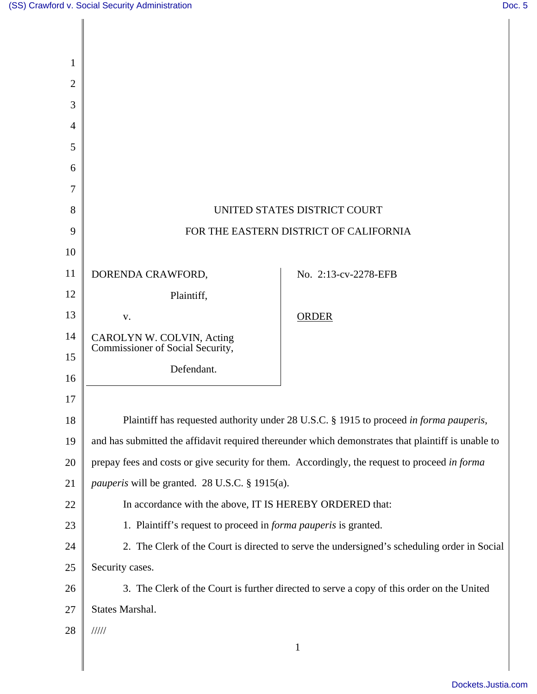| 1              |                                                                                                    |                      |
|----------------|----------------------------------------------------------------------------------------------------|----------------------|
| $\overline{2}$ |                                                                                                    |                      |
| 3              |                                                                                                    |                      |
| 4              |                                                                                                    |                      |
| 5              |                                                                                                    |                      |
| 6              |                                                                                                    |                      |
| 7              |                                                                                                    |                      |
| 8              | UNITED STATES DISTRICT COURT                                                                       |                      |
| 9              | FOR THE EASTERN DISTRICT OF CALIFORNIA                                                             |                      |
| 10             |                                                                                                    |                      |
| 11             | DORENDA CRAWFORD,                                                                                  | No. 2:13-cv-2278-EFB |
| 12             | Plaintiff,                                                                                         |                      |
| 13             | V.                                                                                                 | <b>ORDER</b>         |
| 14             | CAROLYN W. COLVIN, Acting<br>Commissioner of Social Security,                                      |                      |
| 15             | Defendant.                                                                                         |                      |
| 16             |                                                                                                    |                      |
| 17             |                                                                                                    |                      |
| $18\,$         | Plaintiff has requested authority under 28 U.S.C. § 1915 to proceed in forma pauperis,             |                      |
| 19             | and has submitted the affidavit required thereunder which demonstrates that plaintiff is unable to |                      |
| 20             | prepay fees and costs or give security for them. Accordingly, the request to proceed in forma      |                      |
| 21             | <i>pauperis</i> will be granted. 28 U.S.C. § 1915(a).                                              |                      |
| 22             | In accordance with the above, IT IS HEREBY ORDERED that:                                           |                      |
| 23             | 1. Plaintiff's request to proceed in <i>forma pauperis</i> is granted.                             |                      |
| 24             | 2. The Clerk of the Court is directed to serve the undersigned's scheduling order in Social        |                      |
| 25             | Security cases.                                                                                    |                      |
| 26             | 3. The Clerk of the Court is further directed to serve a copy of this order on the United          |                      |
| 27             | States Marshal.                                                                                    |                      |
| 28             | 11111                                                                                              |                      |
|                |                                                                                                    | $\mathbf{1}$         |